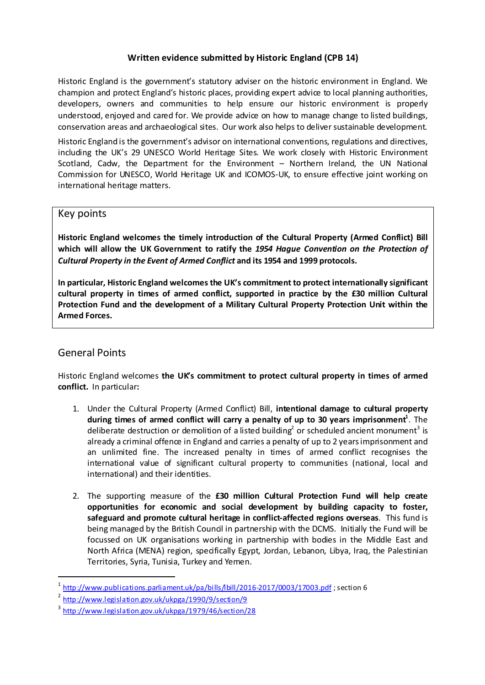## **Written evidence submitted by Historic England (CPB 14)**

Historic England is the government's statutory adviser on the historic environment in England. We champion and protect England's historic places, providing expert advice to local planning authorities, developers, owners and communities to help ensure our historic environment is properly understood, enjoyed and cared for. We provide advice on how to manage change to listed buildings, conservation areas and archaeological sites. Our work also helps to deliver sustainable development.

Historic England is the government's advisor on international conventions, regulations and directives, including the UK's 29 UNESCO World Heritage Sites. We work closely with Historic Environment Scotland, Cadw, the Department for the Environment – Northern Ireland, the UN National Commission for UNESCO, World Heritage UK and ICOMOS-UK, to ensure effective joint working on international heritage matters.

## Key points

**Historic England welcomes the timely introduction of the Cultural Property (Armed Conflict) Bill which will allow the UK Government to ratify the** *1954 Hague Convention on the Protection of Cultural Property in the Event of Armed Conflict* **and its 1954 and 1999 protocols.** 

**In particular, Historic England welcomes the UK's commitment to protect internationally significant cultural property in times of armed conflict, supported in practice by the £30 million Cultural Protection Fund and the development of a Military Cultural Property Protection Unit within the Armed Forces.**

# General Points

<u>.</u>

Historic England welcomes **the UK's commitment to protect cultural property in times of armed conflict.** In particular**:** 

- 1. Under the Cultural Property (Armed Conflict) Bill, **intentional damage to cultural property** during times of armed conflict will carry a penalty of up to 30 years imprisonment<sup>1</sup>. The deliberate destruction or demolition of a listed building<sup>2</sup> or scheduled ancient monument<sup>3</sup> is already a criminal offence in England and carries a penalty of up to 2 years imprisonment and an unlimited fine. The increased penalty in times of armed conflict recognises the international value of significant cultural property to communities (national, local and international) and their identities.
- 2. The supporting measure of the **£30 million Cultural Protection Fund will help create opportunities for economic and social development by building capacity to foster, safeguard and promote cultural heritage in conflict-affected regions overseas**. This fund is being managed by the British Council in partnership with the DCMS. Initially the Fund will be focussed on UK organisations working in partnership with bodies in the Middle East and North Africa (MENA) region, specifically Egypt, Jordan, Lebanon, Libya, Iraq, the Palestinian Territories, Syria, Tunisia, Turkey and Yemen.

<span id="page-0-0"></span><http://www.publications.parliament.uk/pa/bills/lbill/2016-2017/0003/17003.pdf>; section 6

<span id="page-0-1"></span><sup>&</sup>lt;sup>2</sup> <http://www.legislation.gov.uk/ukpga/1990/9/section/9>

<span id="page-0-2"></span><sup>3</sup> <http://www.legislation.gov.uk/ukpga/1979/46/section/28>